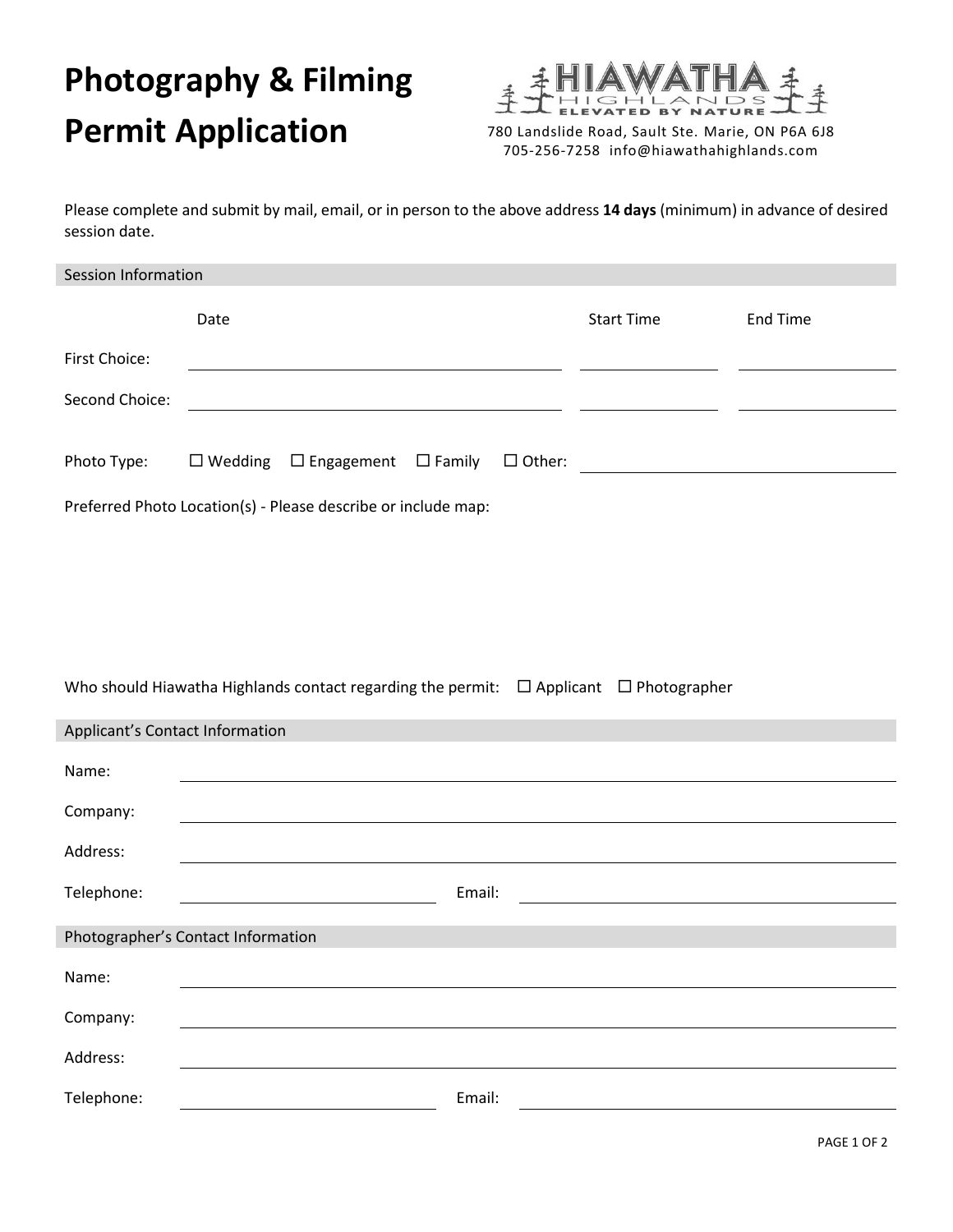## **Photography & Filming Permit Application** 780 Landslide Road, Sault Ste. Marie, ON P6A 6J8



705-256-7258 info@hiawathahighlands.com

Please complete and submit by mail, email, or in person to the above address **14 days** (minimum) in advance of desired session date.

| Session Information                                           |                                                                                                                      |                                                                                                                                        |                 |  |
|---------------------------------------------------------------|----------------------------------------------------------------------------------------------------------------------|----------------------------------------------------------------------------------------------------------------------------------------|-----------------|--|
|                                                               | Date                                                                                                                 | <b>Start Time</b>                                                                                                                      | <b>End Time</b> |  |
| First Choice:                                                 | <u> 1989 - Johann Barbara, martin amerikan basar dan berasal dalam basa dalam basar dalam basar dalam basar dala</u> |                                                                                                                                        |                 |  |
| Second Choice:                                                | <u> 1989 - Johann Barn, mars ann an t-Amhain Aonaich an t-Aonaich an t-Aonaich ann an t-Aonaich ann an t-Aonaich</u> |                                                                                                                                        |                 |  |
|                                                               |                                                                                                                      |                                                                                                                                        |                 |  |
| Photo Type:                                                   | $\Box$ Wedding $\Box$ Engagement $\Box$ Family                                                                       | $\Box$ Other:<br><u> 1980 - Andrea State Barbara, política e a provincia de la provincia de la provincia de la provincia de la pro</u> |                 |  |
| Preferred Photo Location(s) - Please describe or include map: |                                                                                                                      |                                                                                                                                        |                 |  |
|                                                               |                                                                                                                      |                                                                                                                                        |                 |  |
|                                                               |                                                                                                                      |                                                                                                                                        |                 |  |
|                                                               |                                                                                                                      |                                                                                                                                        |                 |  |
|                                                               |                                                                                                                      |                                                                                                                                        |                 |  |
|                                                               | Who should Hiawatha Highlands contact regarding the permit: $\Box$ Applicant $\Box$ Photographer                     |                                                                                                                                        |                 |  |
| Applicant's Contact Information                               |                                                                                                                      |                                                                                                                                        |                 |  |
| Name:                                                         |                                                                                                                      |                                                                                                                                        |                 |  |
| Company:                                                      |                                                                                                                      |                                                                                                                                        |                 |  |
| Address:                                                      |                                                                                                                      |                                                                                                                                        |                 |  |
| Telephone:                                                    | Email:                                                                                                               |                                                                                                                                        |                 |  |
|                                                               | Photographer's Contact Information                                                                                   |                                                                                                                                        |                 |  |
|                                                               |                                                                                                                      |                                                                                                                                        |                 |  |
| Name:                                                         |                                                                                                                      |                                                                                                                                        |                 |  |
| Company:                                                      |                                                                                                                      |                                                                                                                                        |                 |  |
| Address:                                                      |                                                                                                                      |                                                                                                                                        |                 |  |
| Telephone:                                                    | Email:                                                                                                               |                                                                                                                                        |                 |  |